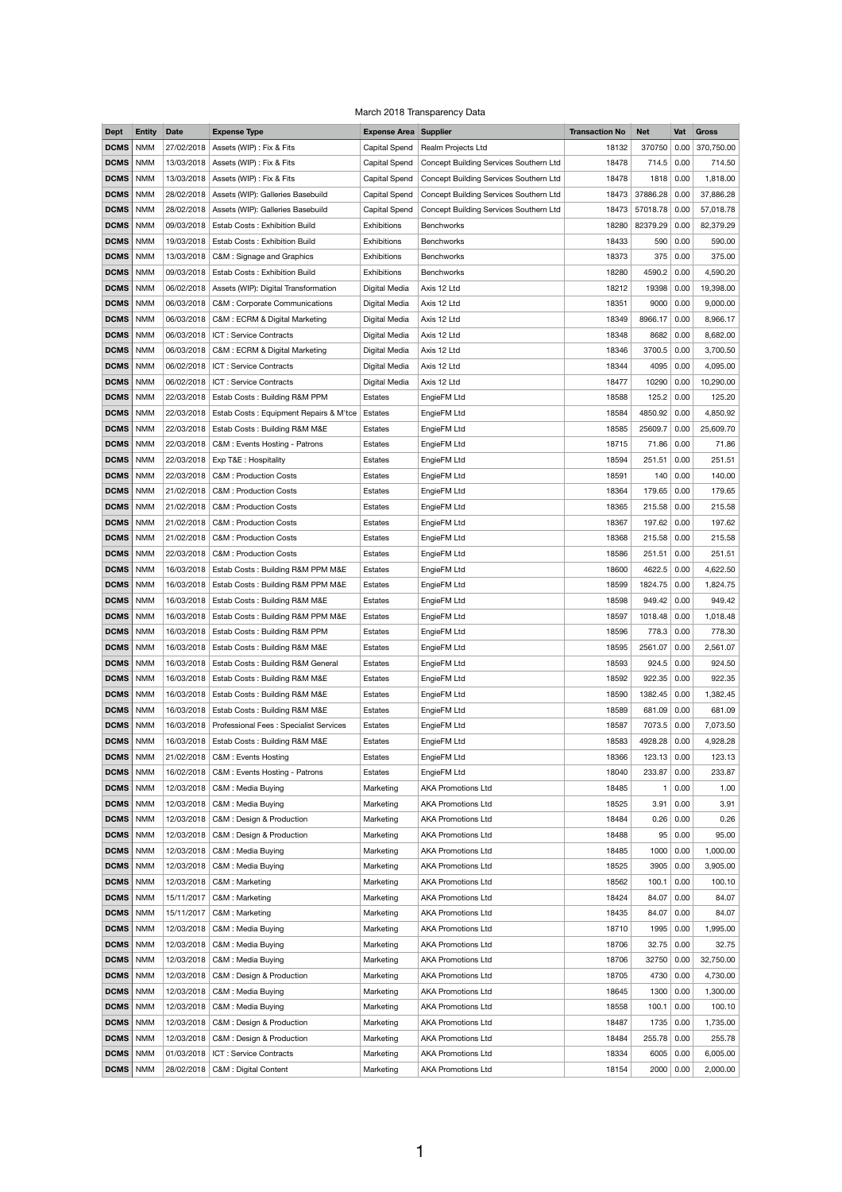|  | March 2018 Transparency Data |  |
|--|------------------------------|--|
|--|------------------------------|--|

| <b>Dept</b>                | <b>Entity</b>            | <b>Date</b>              | <b>Expense Type</b>                                                 | <b>Expense Area Supplier</b> |                                                        | <b>Transaction No</b> | <b>Net</b>       | Vat          | Gross              |
|----------------------------|--------------------------|--------------------------|---------------------------------------------------------------------|------------------------------|--------------------------------------------------------|-----------------------|------------------|--------------|--------------------|
| <b>DCMS</b>                | <b>NMM</b>               | 27/02/2018               | Assets (WIP) : Fix & Fits                                           | <b>Capital Spend</b>         | Realm Projects Ltd                                     | 18132                 | 370750           | 0.00         | 370,750.00         |
| <b>DCMS</b>                | <b>NMM</b>               | 13/03/2018               | Assets (WIP) : Fix & Fits                                           | <b>Capital Spend</b>         | Concept Building Services Southern Ltd                 | 18478                 | 714.5            | 0.00         | 714.50             |
| <b>DCMS</b>                | <b>NMM</b>               | 13/03/2018               | Assets (WIP) : Fix & Fits                                           | Capital Spend                | Concept Building Services Southern Ltd                 | 18478                 | 1818             | 0.00         | 1,818.00           |
| <b>DCMS</b>                | <b>NMM</b>               |                          | 28/02/2018   Assets (WIP): Galleries Basebuild                      | <b>Capital Spend</b>         | Concept Building Services Southern Ltd                 | 18473                 | 37886.28         | 0.00         | 37,886.28          |
| <b>DCMS</b>                | <b>NMM</b>               | 28/02/2018               | Assets (WIP): Galleries Basebuild                                   | <b>Capital Spend</b>         | Concept Building Services Southern Ltd                 | 18473                 | 57018.78         | 0.00         | 57,018.78          |
| <b>DCMS</b>                | <b>NMM</b>               | 09/03/2018               | <b>Estab Costs: Exhibition Build</b>                                | Exhibitions                  | <b>Benchworks</b>                                      | 18280                 | 82379.29         | 0.00         | 82,379.29          |
| <b>DCMS</b>                | <b>NMM</b>               | 19/03/2018               | <b>Estab Costs: Exhibition Build</b>                                | Exhibitions                  | Benchworks                                             | 18433                 |                  | 590 0.00     | 590.00             |
| <b>DCMS</b>                | <b>NMM</b>               | 13/03/2018               | C&M: Signage and Graphics                                           | <b>Exhibitions</b>           | <b>Benchworks</b>                                      | 18373                 | 375              | 0.00         | 375.00             |
| <b>DCMS</b>                | <b>NMM</b>               | 09/03/2018               | <b>Estab Costs: Exhibition Build</b>                                | <b>Exhibitions</b>           | Benchworks                                             | 18280                 | 4590.2           | 0.00         | 4,590.20           |
| <b>DCMS</b>                | <b>NMM</b>               |                          | 06/02/2018   Assets (WIP): Digital Transformation                   | Digital Media                | Axis 12 Ltd                                            | 18212                 | 19398            | 0.00         | 19,398.00          |
| <b>DCMS</b>                | <b>NMM</b>               | 06/03/2018               | <b>C&amp;M: Corporate Communications</b>                            | Digital Media                | Axis 12 Ltd                                            | 18351                 | 9000             | 0.00         | 9,000.00           |
| <b>DCMS</b>                | <b>NMM</b>               | 06/03/2018               | C&M: ECRM & Digital Marketing                                       | Digital Media                | Axis 12 Ltd                                            | 18349                 | 8966.17          | 0.00         | 8,966.17           |
| <b>DCMS</b>                | <b>NMM</b>               | 06/03/2018               | ICT : Service Contracts                                             | Digital Media                | Axis 12 Ltd                                            | 18348                 | 8682             | 0.00         | 8,682.00           |
| <b>DCMS</b>                | <b>NMM</b>               | 06/03/2018               | C&M: ECRM & Digital Marketing                                       | Digital Media                | Axis 12 Ltd                                            | 18346                 | 3700.5           | 0.00         | 3,700.50           |
| <b>DCMS</b>                | <b>NMM</b>               | 06/02/2018               | ICT: Service Contracts                                              | Digital Media                | Axis 12 Ltd                                            | 18344                 | 4095             | 0.00         | 4,095.00           |
| <b>DCMS</b>                | <b>NMM</b>               | 06/02/2018               | ICT: Service Contracts                                              | Digital Media                | Axis 12 Ltd                                            | 18477                 | 10290            | 0.00         | 10,290.00          |
| <b>DCMS</b>                | <b>NMM</b>               | 22/03/2018               | Estab Costs: Building R&M PPM                                       | Estates                      | EngieFM Ltd                                            | 18588                 | 125.2            | 0.00         | 125.20             |
| <b>DCMS</b>                | <b>NMM</b>               | 22/03/2018               | Estab Costs: Equipment Repairs & M'tce                              | Estates                      | EngieFM Ltd                                            | 18584                 | 4850.92          | 0.00         | 4,850.92           |
| <b>DCMS</b>                | <b>NMM</b>               | 22/03/2018               | <b>Estab Costs: Building R&amp;M M&amp;E</b>                        | Estates                      | EngieFM Ltd                                            | 18585                 | 25609.7          | 0.00         | 25,609.70          |
| <b>DCMS</b>                | <b>NMM</b>               | 22/03/2018               | C&M : Events Hosting - Patrons                                      | Estates                      | EngieFM Ltd                                            | 18715                 | 71.86            | 0.00         | 71.86              |
| <b>DCMS</b>                | <b>NMM</b>               |                          | 22/03/2018   Exp T&E: Hospitality                                   | Estates                      | EngieFM Ltd                                            | 18594                 | 251.51           | 0.00         | 251.51             |
| <b>DCMS</b>                | <b>NMM</b>               |                          | 22/03/2018   C&M : Production Costs                                 | Estates                      | EngieFM Ltd                                            | 18591                 |                  | 140   0.00   | 140.00             |
| <b>DCMS</b>                | <b>NMM</b>               | 21/02/2018               | <b>C&amp;M: Production Costs</b>                                    | Estates                      | EngieFM Ltd                                            | 18364                 | 179.65           | 0.00         | 179.65             |
| <b>DCMS</b>                | <b>NMM</b>               | 21/02/2018               | C&M : Production Costs                                              | Estates                      | EngieFM Ltd                                            | 18365                 | 215.58           | 0.00         | 215.58             |
| <b>DCMS</b>                | <b>NMM</b>               | 21/02/2018               | <b>C&amp;M: Production Costs</b>                                    | Estates                      | EngieFM Ltd                                            | 18367                 | 197.62           | 0.00         | 197.62             |
| <b>DCMS</b>                | <b>NMM</b>               | 21/02/2018               | <b>C&amp;M: Production Costs</b>                                    | Estates                      | EngieFM Ltd                                            | 18368                 | 215.58           | 0.00         | 215.58             |
| <b>DCMS</b>                | <b>NMM</b>               | 22/03/2018               | C&M : Production Costs                                              | Estates                      | EngieFM Ltd                                            | 18586                 | 251.51           | 0.00         | 251.51             |
| <b>DCMS</b>                | <b>NMM</b>               | 16/03/2018               | Estab Costs: Building R&M PPM M&E                                   | Estates                      | EngieFM Ltd                                            | 18600                 | 4622.5           | 0.00         | 4,622.50           |
| <b>DCMS</b>                | <b>NMM</b>               | 16/03/2018               | Estab Costs: Building R&M PPM M&E                                   | Estates                      | EngieFM Ltd                                            | 18599                 | 1824.75          | 0.00         | 1,824.75           |
| <b>DCMS</b>                | <b>NMM</b>               |                          | 16/03/2018   Estab Costs: Building R&M M&E                          | Estates                      | EngieFM Ltd                                            | 18598                 | 949.42 0.00      |              | 949.42             |
| <b>DCMS</b>                | <b>NMM</b>               | 16/03/2018               | Estab Costs: Building R&M PPM M&E                                   |                              |                                                        | 18597                 | 1018.48          |              | 1,018.48           |
| <b>DCMS</b>                | <b>NMM</b>               | 16/03/2018               | Estab Costs: Building R&M PPM                                       | Estates<br>Estates           | EngieFM Ltd                                            | 18596                 | 778.3            | 0.00<br>0.00 | 778.30             |
|                            |                          |                          |                                                                     |                              | EngieFM Ltd                                            |                       |                  |              |                    |
| <b>DCMS</b>                | <b>NMM</b>               |                          | 16/03/2018   Estab Costs: Building R&M M&E                          | Estates                      | EngieFM Ltd                                            | 18595                 | 2561.07          | 0.00         | 2,561.07           |
| <b>DCMS</b><br><b>DCMS</b> | <b>NMM</b>               | 16/03/2018               | Estab Costs: Building R&M General                                   | Estates                      | EngieFM Ltd                                            | 18593<br>18592        | 924.5            | 0.00         | 924.50             |
| <b>DCMS</b>                | <b>NMM</b><br><b>NMM</b> | 16/03/2018               | <b>Estab Costs: Building R&amp;M M&amp;E</b>                        | Estates                      | EngieFM Ltd                                            |                       | 922.35           | 0.00         | 922.35             |
| <b>DCMS</b>                | <b>NMM</b>               | 16/03/2018<br>16/03/2018 | <b>Estab Costs: Building R&amp;M M&amp;E</b>                        | Estates                      | EngieFM Ltd                                            | 18590<br>18589        | 1382.45          | 0.00         | 1,382.45<br>681.09 |
| <b>DCMS</b>                |                          |                          | Estab Costs: Building R&M M&E                                       | Estates                      | EngieFM Ltd                                            |                       | 681.09           | 0.00         |                    |
|                            | <b>NMM</b>               | 16/03/2018               | Professional Fees: Specialist Services                              | Estates                      | EngieFM Ltd                                            | 18587                 | 7073.5           | 0.00         | 7,073.50           |
| <b>DCMS</b>                | <b>NMM</b>               | 16/03/2018               | Estab Costs: Building R&M M&E                                       | Estates                      | EngieFM Ltd                                            | 18583                 | 4928.28          | 0.00         | 4,928.28           |
| <b>DCMS</b><br><b>DCMS</b> | <b>NMM</b>               | 21/02/2018               | C&M : Events Hosting<br>C&M: Events Hosting - Patrons               | Estates                      | EngieFM Ltd                                            | 18366<br>18040        | 123.13<br>233.87 | 0.00         | 123.13             |
|                            | <b>NMM</b>               | 16/02/2018               |                                                                     | Estates                      | EngieFM Ltd                                            |                       |                  | 0.00         | 233.87             |
| <b>DCMS</b>                | <b>NMM</b>               | 12/03/2018               | C&M: Media Buying                                                   | Marketing                    | <b>AKA Promotions Ltd</b>                              | 18485                 |                  | 0.00         | 1.00               |
| <b>DCMS</b>                | <b>NMM</b>               | 12/03/2018               | C&M : Media Buying                                                  | Marketing                    | <b>AKA Promotions Ltd</b>                              | 18525                 | 3.91             | 0.00         | 3.91               |
| DCMS   NMM<br><b>DCMS</b>  |                          | 12/03/2018               | 12/03/2018   C&M : Design & Production<br>C&M : Design & Production | Marketing                    | <b>AKA Promotions Ltd</b><br><b>AKA Promotions Ltd</b> | 18484<br>18488        | 95               | 0.26   0.00  | 0.26<br>95.00      |
| <b>DCMS</b>                | <b>NMM</b><br><b>NMM</b> | 12/03/2018               |                                                                     | Marketing<br>Marketing       | <b>AKA Promotions Ltd</b>                              | 18485                 |                  | 0.00<br>0.00 | 1,000.00           |
| <b>DCMS</b>                | <b>NMM</b>               | 12/03/2018               | C&M: Media Buying<br>C&M: Media Buying                              | Marketing                    | <b>AKA Promotions Ltd</b>                              | 18525                 | 1000<br>3905     |              | 3,905.00           |
|                            |                          |                          |                                                                     |                              |                                                        |                       |                  | 0.00         |                    |
| <b>DCMS</b>                | <b>NMM</b>               | 12/03/2018               | C&M: Marketing                                                      | Marketing                    | <b>AKA Promotions Ltd</b>                              | 18562                 | 100.1            | 0.00         | 100.10             |
| <b>DCMS</b>                | <b>NMM</b>               | 15/11/2017               | C&M: Marketing                                                      | Marketing<br>Marketing       | <b>AKA Promotions Ltd</b><br><b>AKA Promotions Ltd</b> | 18424<br>18435        | 84.07            | 0.00         | 84.07              |
| <b>DCMS</b><br><b>DCMS</b> | <b>NMM</b><br><b>NMM</b> | 15/11/2017<br>12/03/2018 | C&M: Marketing                                                      | Marketing                    | <b>AKA Promotions Ltd</b>                              | 18710                 | 84.07<br>1995    | 0.00         | 84.07              |
|                            |                          |                          | C&M: Media Buying                                                   |                              |                                                        |                       |                  | 0.00         | 1,995.00           |
| <b>DCMS</b>                | <b>NMM</b>               | 12/03/2018               | C&M: Media Buying                                                   | Marketing                    | <b>AKA Promotions Ltd</b>                              | 18706                 | 32.75            | 0.00         | 32.75              |
| <b>DCMS</b>                | <b>NMM</b>               | 12/03/2018               | C&M : Media Buying                                                  | Marketing                    | <b>AKA Promotions Ltd</b>                              | 18706                 | 32750            | 0.00         | 32,750.00          |
| <b>DCMS</b>                | <b>NMM</b>               | 12/03/2018               | C&M : Design & Production                                           | Marketing                    | <b>AKA Promotions Ltd</b>                              | 18705                 | 4730             | 0.00         | 4,730.00           |
| <b>DCMS</b>                | <b>NMM</b>               | 12/03/2018               | C&M : Media Buying                                                  | Marketing                    | <b>AKA Promotions Ltd</b>                              | 18645                 | 1300             | 0.00         | 1,300.00           |
| <b>DCMS</b>                | <b>NMM</b>               | 12/03/2018               | C&M : Media Buying                                                  | Marketing                    | <b>AKA Promotions Ltd</b>                              | 18558                 | 100.1            | 0.00         | 100.10             |
| <b>DCMS</b>                | <b>NMM</b>               | 12/03/2018               | C&M : Design & Production                                           | Marketing                    | <b>AKA Promotions Ltd</b>                              | 18487                 | 1735             | 0.00         | 1,735.00           |
| <b>DCMS</b>                | <b>NMM</b>               | 12/03/2018               | C&M : Design & Production                                           | Marketing                    | <b>AKA Promotions Ltd</b>                              | 18484                 | 255.78           | 0.00         | 255.78             |
| <b>DCMS</b>                | <b>NMM</b>               | 01/03/2018               | ICT: Service Contracts                                              | Marketing                    | <b>AKA Promotions Ltd</b>                              | 18334                 | 6005             | 0.00         | 6,005.00           |
| <b>DCMS</b>                | <b>NMM</b>               | 28/02/2018               | C&M : Digital Content                                               | Marketing                    | <b>AKA Promotions Ltd</b>                              | 18154                 | 2000             | 0.00         | 2,000.00           |